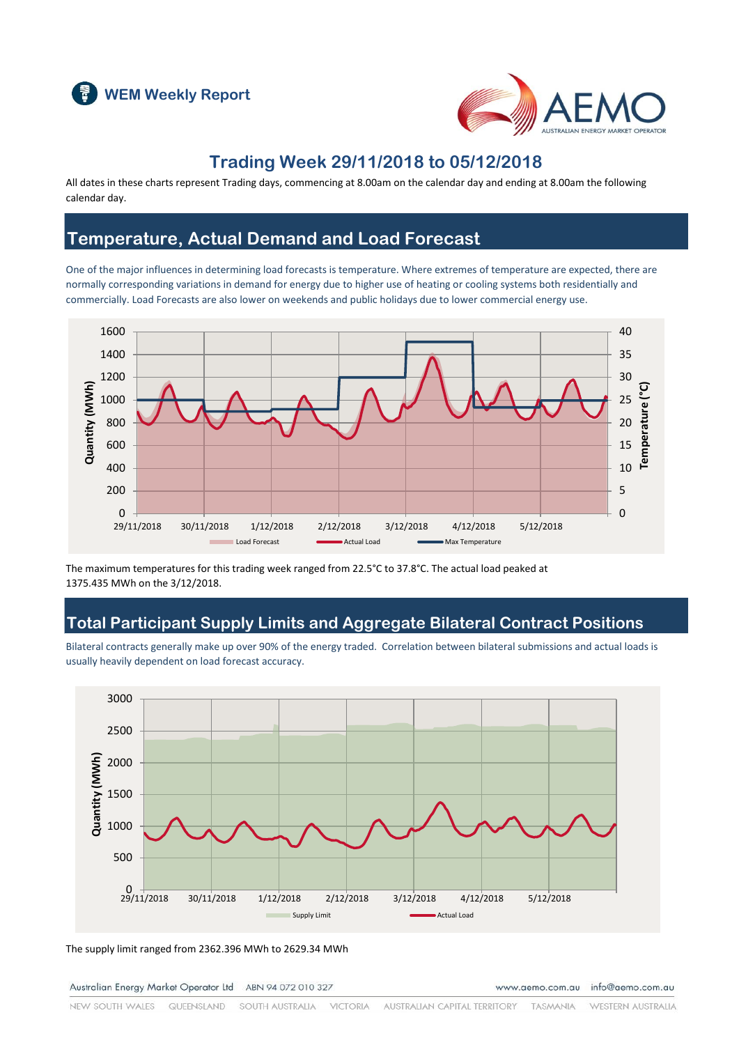



## **Trading Week 29/11/2018 to 05/12/2018**

All dates in these charts represent Trading days, commencing at 8.00am on the calendar day and ending at 8.00am the following calendar day.

## **Temperature, Actual Demand and Load Forecast**

One of the major influences in determining load forecasts is temperature. Where extremes of temperature are expected, there are normally corresponding variations in demand for energy due to higher use of heating or cooling systems both residentially and commercially. Load Forecasts are also lower on weekends and public holidays due to lower commercial energy use.



The maximum temperatures for this trading week ranged from 22.5°C to 37.8°C. The actual load peaked at 1375.435 MWh on the 3/12/2018.

### **Total Participant Supply Limits and Aggregate Bilateral Contract Positions**

Bilateral contracts generally make up over 90% of the energy traded. Correlation between bilateral submissions and actual loads is usually heavily dependent on load forecast accuracy.



The supply limit ranged from 2362.396 MWh to 2629.34 MWh

Australian Energy Market Operator Ltd ABN 94 072 010 327

www.aemo.com.au info@aemo.com.au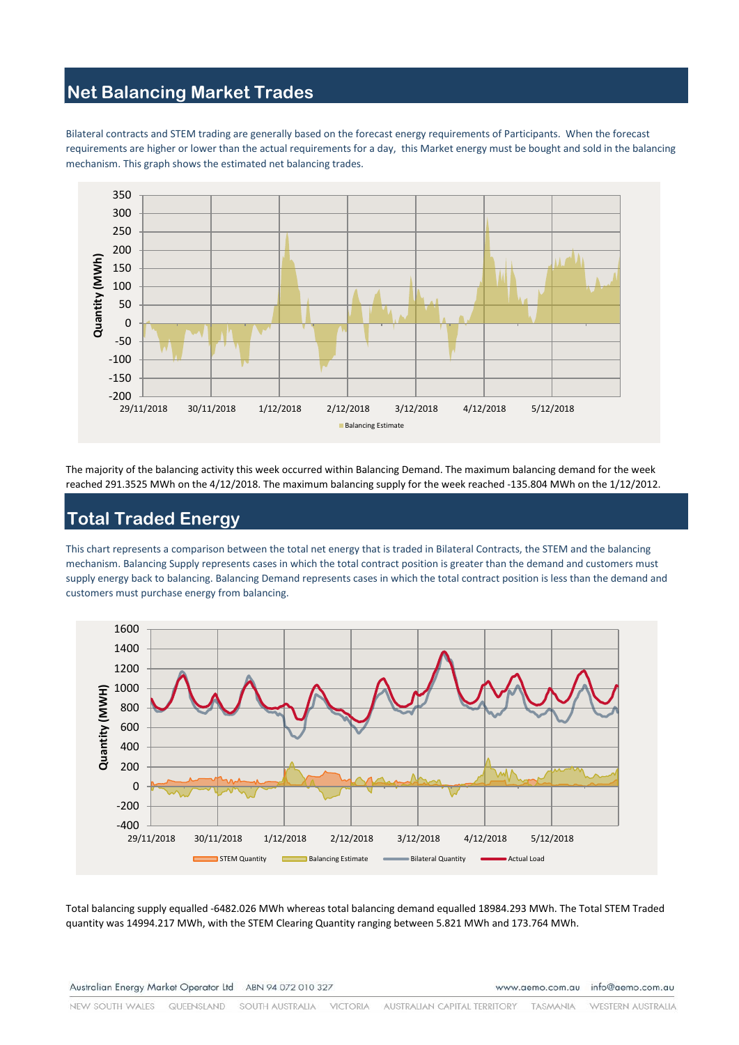## **Net Balancing Market Trades**

Bilateral contracts and STEM trading are generally based on the forecast energy requirements of Participants. When the forecast requirements are higher or lower than the actual requirements for a day, this Market energy must be bought and sold in the balancing mechanism. This graph shows the estimated net balancing trades.



The majority of the balancing activity this week occurred within Balancing Demand. The maximum balancing demand for the week reached 291.3525 MWh on the 4/12/2018. The maximum balancing supply for the week reached -135.804 MWh on the 1/12/2012.

# **Total Traded Energy**

This chart represents a comparison between the total net energy that is traded in Bilateral Contracts, the STEM and the balancing mechanism. Balancing Supply represents cases in which the total contract position is greater than the demand and customers must supply energy back to balancing. Balancing Demand represents cases in which the total contract position is less than the demand and customers must purchase energy from balancing.



Total balancing supply equalled -6482.026 MWh whereas total balancing demand equalled 18984.293 MWh. The Total STEM Traded quantity was 14994.217 MWh, with the STEM Clearing Quantity ranging between 5.821 MWh and 173.764 MWh.